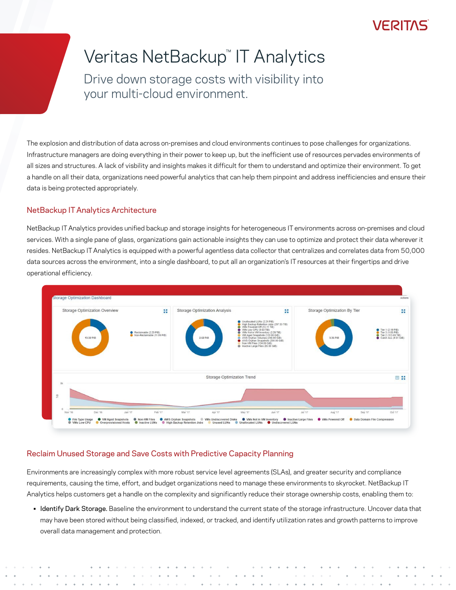## **VERITAS**

# Veritas NetBackup™ IT Analytics

Drive down storage costs with visibility into your multi-cloud environment.

The explosion and distribution of data across on-premises and cloud environments continues to pose challenges for organizations. Infrastructure managers are doing everything in their power to keep up, but the inefficient use of resources pervades environments of all sizes and structures. A lack of visbility and insights makes it difficult for them to understand and optimize their environment. To get a handle on all their data, organizations need powerful analytics that can help them pinpoint and address inefficiencies and ensure their data is being protected appropriately.

#### NetBackup IT Analytics Architecture

NetBackup IT Analytics provides unified backup and storage insights for heterogeneous IT environments across on-premises and cloud services. With a single pane of glass, organizations gain actionable insights they can use to optimize and protect their data wherever it resides. NetBackup IT Analytics is equipped with a powerful agentless data collector that centralizes and correlates data from 50,000 data sources across the environment, into a single dashboard, to put all an organization's IT resources at their fingertips and drive operational efficiency.



### Reclaim Unused Storage and Save Costs with Predictive Capacity Planning

Environments are increasingly complex with more robust service level agreements (SLAs), and greater security and compliance requirements, causing the time, effort, and budget organizations need to manage these environments to skyrocket. NetBackup IT Analytics helps customers get a handle on the complexity and significantly reduce their storage ownership costs, enabling them to:

• Identify Dark Storage. Baseline the environment to understand the current state of the storage infrastructure. Uncover data that may have been stored without being classified, indexed, or tracked, and identify utilization rates and growth patterns to improve overall data management and protection.